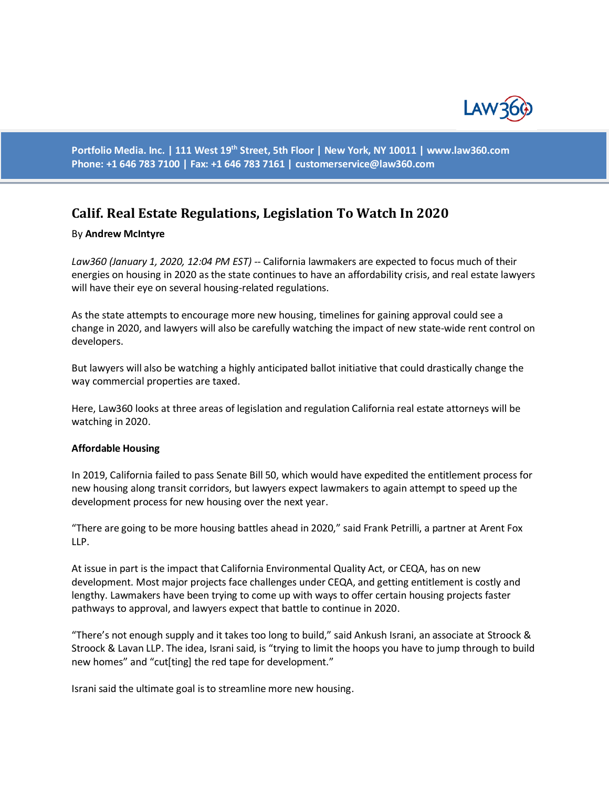

**Portfolio Media. Inc. | 111 West 19th Street, 5th Floor | New York, NY 10011 | www.law360.com Phone: +1 646 783 7100 | Fax: +1 646 783 7161 | [customerservice@law360.com](mailto:customerservice@law360.com)**

# **Calif. Real Estate Regulations, Legislation To Watch In 2020**

#### By **Andrew McIntyre**

*Law360 (January 1, 2020, 12:04 PM EST) --* California lawmakers are expected to focus much of their energies on housing in 2020 as the state continues to have an affordability crisis, and real estate lawyers will have their eye on several housing-related regulations.

As the state attempts to encourage more new housing, timelines for gaining approval could see a change in 2020, and lawyers will also be carefully watching the impact of new state-wide rent control on developers.

But lawyers will also be watching a highly anticipated ballot initiative that could drastically change the way commercial properties are taxed.

Here, Law360 looks at three areas of legislation and regulation California real estate attorneys will be watching in 2020.

#### **Affordable Housing**

In 2019, California failed to pass Senate Bill 50, which would have expedited the entitlement process for new housing along transit corridors, but lawyers expect lawmakers to again attempt to speed up the development process for new housing over the next year.

"There are going to be more housing battles ahead in 2020," said Frank Petrilli, a partner at Arent Fox LLP.

At issue in part is the impact that California Environmental Quality Act, or CEQA, has on new development. Most major projects face challenges under CEQA, and getting entitlement is costly and lengthy. Lawmakers have been trying to come up with ways to offer certain housing projects faster pathways to approval, and lawyers expect that battle to continue in 2020.

"There's not enough supply and it takes too long to build," said Ankush Israni, an associate at Stroock & Stroock & Lavan LLP. The idea, Israni said, is "trying to limit the hoops you have to jump through to build new homes" and "cut[ting] the red tape for development."

Israni said the ultimate goal is to streamline more new housing.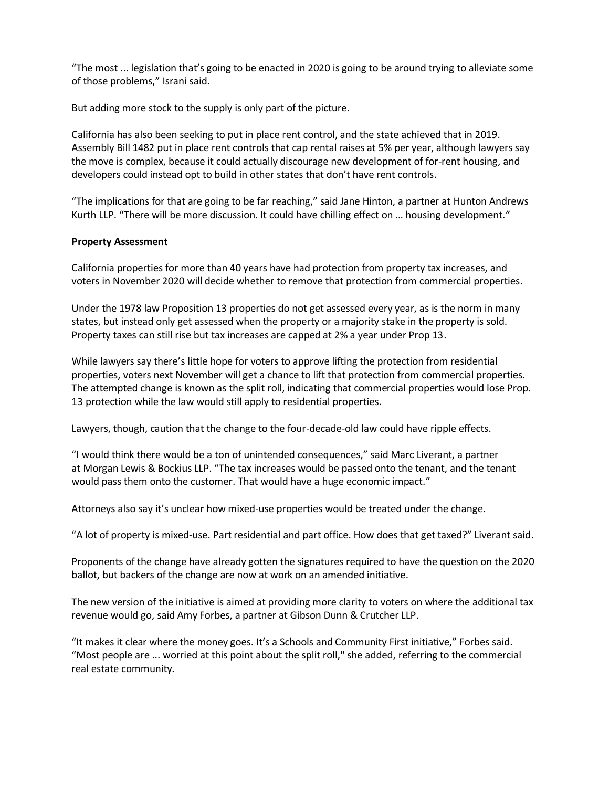"The most ... legislation that's going to be enacted in 2020 is going to be around trying to alleviate some of those problems," Israni said.

But adding more stock to the supply is only part of the picture.

California has also been seeking to put in place rent control, and the state achieved that in 2019. Assembly Bill 1482 put in place rent controls that cap rental raises at 5% per year, although lawyers say the move is complex, because it could actually discourage new development of for-rent housing, and developers could instead opt to build in other states that don't have rent controls.

"The implications for that are going to be far reaching," said Jane Hinton, a partner at Hunton Andrews Kurth LLP. "There will be more discussion. It could have chilling effect on … housing development."

### **Property Assessment**

California properties for more than 40 years have had protection from property tax increases, and voters in November 2020 will decide whether to remove that protection from commercial properties.

Under the 1978 law Proposition 13 properties do not get assessed every year, as is the norm in many states, but instead only get assessed when the property or a majority stake in the property is sold. Property taxes can still rise but tax increases are capped at 2% a year under Prop 13.

While lawyers say there's little hope for voters to approve lifting the protection from residential properties, voters next November will get a chance to lift that protection from commercial properties. The attempted change is known as the split roll, indicating that commercial properties would lose Prop. 13 protection while the law would still apply to residential properties.

Lawyers, though, caution that the change to the four-decade-old law could have ripple effects.

"I would think there would be a ton of unintended consequences," said Marc Liverant, a partner at Morgan Lewis & Bockius LLP. "The tax increases would be passed onto the tenant, and the tenant would pass them onto the customer. That would have a huge economic impact."

Attorneys also say it's unclear how mixed-use properties would be treated under the change.

"A lot of property is mixed-use. Part residential and part office. How does that get taxed?" Liverant said.

Proponents of the change have already gotten the signatures required to have the question on the 2020 ballot, but backers of the change are now at work on an amended initiative.

The new version of the initiative is aimed at providing more clarity to voters on where the additional tax revenue would go, said Amy Forbes, a partner at Gibson Dunn & Crutcher LLP.

"It makes it clear where the money goes. It's a Schools and Community First initiative," Forbes said. "Most people are ... worried at this point about the split roll," she added, referring to the commercial real estate community.